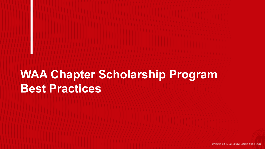## **WAA Chapter Scholarship Program Best Practices**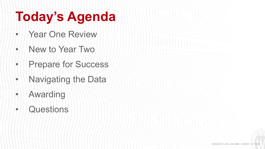# **Today's Agenda**

- Year One Review
- New to Year Two
- Prepare for Success
- Navigating the Data
- Awarding
- Questions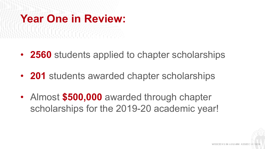## **Year One in Review:**

- **2560** students applied to chapter scholarships
- **201** students awarded chapter scholarships
- Almost **\$500,000** awarded through chapter scholarships for the 2019-20 academic year!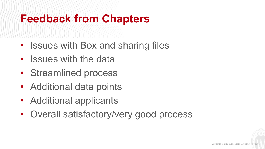## **Feedback from Chapters**

- Issues with Box and sharing files
- Issues with the data

- Streamlined process
- Additional data points
- Additional applicants
- Overall satisfactory/very good process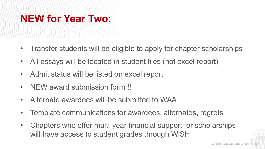## **NEW for Year Two:**

- Transfer students will be eligible to apply for chapter scholarships
- All essays will be located in student files (not excel report)
- Admit status will be listed on excel report
- NEW award submission form!!!
- Alternate awardees will be submitted to WAA
- Template communications for awardees, alternates, regrets
- Chapters who offer multi-year financial support for scholarships will have access to student grades through WiSH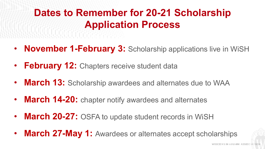## **Dates to Remember for 20-21 Scholarship Application Process**

- **November 1-February 3:** Scholarship applications live in WiSH
- **February 12:** Chapters receive student data
- **March 13:** Scholarship awardees and alternates due to WAA
- **March 14-20:** chapter notify awardees and alternates
- **March 20-27:** OSFA to update student records in WiSH
- **March 27-May 1:** Awardees or alternates accept scholarships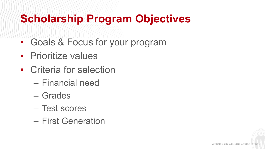## **Scholarship Program Objectives**

- Goals & Focus for your program
- Prioritize values
- Criteria for selection
	- Financial need
	- Grades
	- Test scores
	- First Generation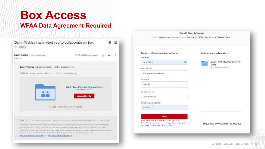### **Box Access WFAA Data Agreement Required**



| Signup for a then account to accept invite                 | You're mylood to collaborate pro-                    |
|------------------------------------------------------------|------------------------------------------------------|
| D.B. Mirwell                                               |                                                      |
| <b>CONTRACTOR</b><br>Fig. a. Walk of<br><b>MILLING COL</b> | 2000000<br>WAA: Test Chapter Student<br>144<br>Drta. |
| Facilitätings.                                             | March 11 of 11 Jan 1980 Terry                        |
| US, an Walk benefits opportunities;                        |                                                      |
| <b>Kiswani</b>                                             |                                                      |
| PageL143<br>U-7000                                         |                                                      |
| La divisi Manuelma                                         |                                                      |
| Contine Password                                           |                                                      |
| Prior emisie per logisonal-                                |                                                      |
| AND 200119                                                 |                                                      |
| Saberic                                                    |                                                      |
| three completes that we controlled the complete com-       |                                                      |
| the influence of research in the project projects.         | University of Wisconsin Foundation                   |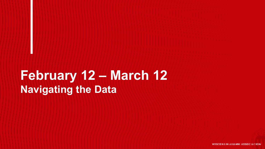## **February 12 – March 12 Navigating the Data**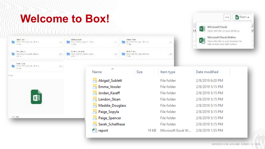## **Welcome to Box!**



m Coen +

 $114$ 

Microsoft Excel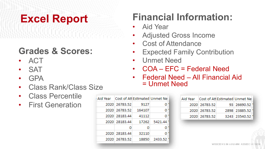## **Excel Report**

### **Grades & Scores:**

- ACT
- SAT
- GPA
- Class Rank/Class Size
- Class Percentile
- First Generation

| Aid Year   Cost of Att Estimated Unmet Ne |                      |       |               |
|-------------------------------------------|----------------------|-------|---------------|
|                                           | 2020 26783.52        | 9127  |               |
|                                           | 2020 26783.52 164107 |       | o             |
|                                           | 2020 28183.44        | 41112 |               |
|                                           | 2020 28183.44        |       | 17262 5421.44 |
|                                           | o                    | o     |               |
|                                           | 2020 28183.44        | 32110 | O             |
|                                           | 2020 26783.52        | 18850 | 2433.52       |

## **Financial Information:**

- Aid Year
- Adjusted Gross Income
- Cost of Attendance
- **Expected Family Contribution**
- Unmet Need
- COA EFC = Federal Need
- Federal Need All Financial Aid = Unmet Need

|               | Aid Year   Cost of Att Estimated Unmet Ne |
|---------------|-------------------------------------------|
| 2020 26783.52 | 93 26690.52                               |
| 2020 26783.52 | 2898 23885.52                             |
| 2020 26783.52 | 3243 23540.52                             |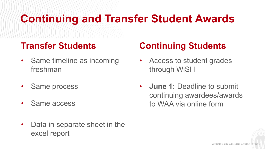## **Continuing and Transfer Student Awards**

### **Transfer Students**

• Same timeline as incoming freshman

- Same process
- Same access
- Data in separate sheet in the excel report

### **Continuing Students**

- Access to student grades through WiSH
- **June 1:** Deadline to submit continuing awardees/awards to WAA via online form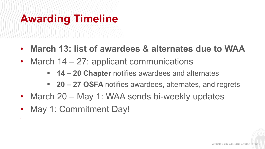# **Awarding Timeline**

- **March 13: list of awardees & alternates due to WAA**
- March 14 27: applicant communications
	- **14 – 20 Chapter** notifies awardees and alternates
	- **20 – 27 OSFA** notifies awardees, alternates, and regrets
- March 20 May 1: WAA sends bi-weekly updates
- May 1: Commitment Day!

•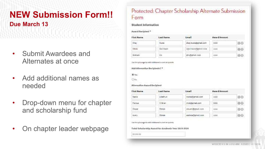### **NEW Submission Form!! Due March 13**

- Submit Awardees and Alternates at once
- Add additional names as needed
- Drop-down menu for chapter and scholarship fund
- On chapter leader webpage

#### Protected: Chapter Scholarship Alternate Submission Form

#### **Student Information**

#### Award Recipient.<sup>\*</sup>

| <b>First Name</b>   | Leat Nume        | Email               | Award Amount |    |
|---------------------|------------------|---------------------|--------------|----|
| Shay :              | <b>Fourte</b>    | shayJozia@gmaE.com  | 3330         | 90 |
| ------<br>Diffully. | <b>GALE TWOW</b> | ces l'mondant i con | EERI         | 88 |
| ---<br>Graham.      | Ha               | mos lamalicats      | ---<br>3330  | 96 |

#### that the plan sign to add neighbors in a well recipients

Add Alternative Recipients? \*

**OU You** 

**O**Ha

Alternative Award Recipient

| First Name                      | Last Name      | Email             | <b>Award Amount</b>                               |    |
|---------------------------------|----------------|-------------------|---------------------------------------------------|----|
| Nadia.                          | Littleffrom    | recisi@email.com  | 1100                                              | 88 |
| Margus.<br>California (pr       | <b>U</b> Brian | mob@gmail.com     | <b>CARD CORPORATION</b><br>3300<br><b>Balance</b> | 80 |
| Clower                          | Zerala         | closed@eavel.com  | 3,3.61                                            | 88 |
| Arky.<br><b>Service Control</b> | Zdrain         | moning a mail and | 3300                                              | 60 |

The the plus ups to add cobitsonal sward recipients

Total Scholarship Award for Academic Year 2019-2020

11,003.07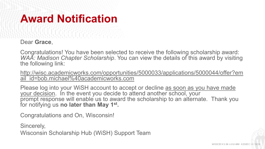## **Award Notification**

Dear **Grace**,

Congratulations! You have been selected to receive the following scholarship award: *WAA: Madison Chapter Scholarship*. You can view the details of this award by visiting the following link:

[http://wisc.academicworks.com/opportunities/5000033/applications/5000044/offer?em](http://wisc.academicworks.com/opportunities/5000033/applications/5000044/offer?email_id=bob.michael%40academicworks.com) ail\_id=bob.michael%40academicworks.com

Please log into your WiSH account to accept or decline as soon as you have made your decision. In the event you decide to attend another school, your prompt response will enable us to award the scholarship to an alternate. Thank you for notifying us **no later than May 1st .** 

Congratulations and On, Wisconsin!

Sincerely,

Wisconsin Scholarship Hub (WiSH) Support Team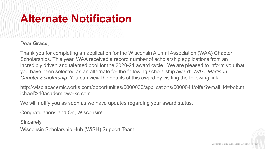## **Alternate Notification**

### Dear **Grace**,

Thank you for completing an application for the Wisconsin Alumni Association (WAA) Chapter Scholarships. This year, WAA received a record number of scholarship applications from an incredibly driven and talented pool for the 2020-21 award cycle. We are pleased to inform you that you have been selected as an alternate for the following scholarship award: *WAA: Madison Chapter Scholarship*. You can view the details of this award by visiting the following link:

[http://wisc.academicworks.com/opportunities/5000033/applications/5000044/offer?email\\_id=bob.m](http://wisc.academicworks.com/opportunities/5000033/applications/5000044/offer?email_id=bob.michael%40academicworks.com) ichael%40academicworks.com

We will notify you as soon as we have updates regarding your award status.

Congratulations and On, Wisconsin!

Sincerely, Wisconsin Scholarship Hub (WiSH) Support Team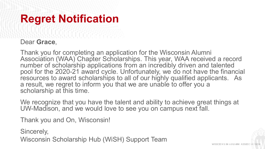## **Regret Notification**

### Dear **Grace**,

Thank you for completing an application for the Wisconsin Alumni Association (WAA) Chapter Scholarships. This year, WAA received a record number of scholarship applications from an incredibly driven and talented pool for the 2020-21 award cycle. Unfortunately, we do not have the financial resources to award scholarships to all of our highly qualified applicants. As a result, we regret to inform you that we are unable to offer you a scholarship at this time.

We recognize that you have the talent and ability to achieve great things at UW-Madison, and we would love to see you on campus next fall.

Thank you and On, Wisconsin!

Sincerely, Wisconsin Scholarship Hub (WiSH) Support Team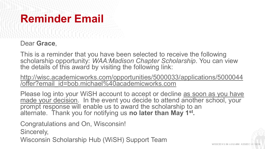## **Reminder Email**

Dear **Grace**,

This is a reminder that you have been selected to receive the following scholarship opportunity: *WAA:Madison Chapter Scholarship*. You can view the details of this award by visiting the following link:

[http://wisc.academicworks.com/opportunities/5000033/applications/5000044](http://wisc.academicworks.com/opportunities/5000033/applications/5000044/offer?email_id=bob.michael%40academicworks.com) /offer?email\_id=bob.michael%40academicworks.com

Please log into your WiSH account to accept or decline as soon as you have made your decision. In the event you decide to attend another school, your prompt response will enable us to award the scholarship to an alternate. Thank you for notifying us **no later than May 1st .** 

Congratulations and On, Wisconsin!

Sincerely,

Wisconsin Scholarship Hub (WiSH) Support Team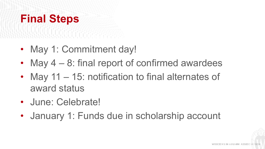## **Final Steps**

• May 1: Commitment day!

- May  $4 8$ : final report of confirmed awardees
- May 11 15: notification to final alternates of award status
- June: Celebrate!
- January 1: Funds due in scholarship account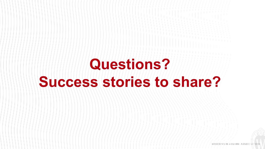# **Questions? Success stories to share?**